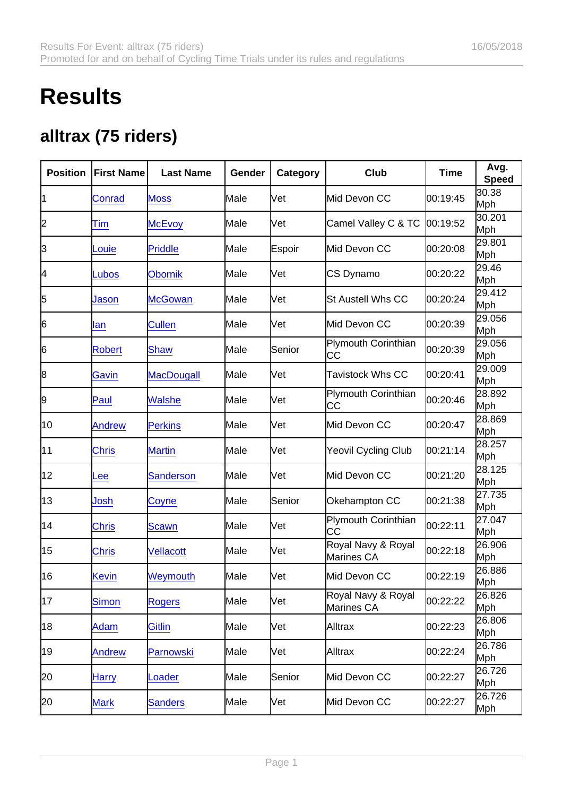## **Results**

## alltrax (75 riders)

| Position | <b>First Name</b> | Last Name         | Gender | Category | Club                             | Time     | Avg.<br>Speed |
|----------|-------------------|-------------------|--------|----------|----------------------------------|----------|---------------|
| 11       | Conrad            | <b>Moss</b>       | Male   | Vet      | Mid Devon CC                     | 00:19:45 | 30.38<br>Mph  |
| 2        | Tim               | <b>McEvoy</b>     | Male   | Vet      | Camel Valley C & TC              | 00:19:52 | 30.201<br>Mph |
| 3        | Louie             | <b>Priddle</b>    | Male   | Espoir   | Mid Devon CC                     | 00:20:08 | 29.801<br>Mph |
| 4        | Lubos             | <b>Obornik</b>    | Male   | Vet      | CS Dynamo                        | 00:20:22 | 29.46<br>Mph  |
| 5        | Jason             | <b>McGowan</b>    | Male   | Vet      | St Austell Whs CC                | 00:20:24 | 29.412<br>Mph |
| 6        | lan               | <b>Cullen</b>     | Male   | Vet      | Mid Devon CC                     | 00:20:39 | 29.056<br>Mph |
| 6        | <b>Robert</b>     | Shaw              | Male   | Senior   | <b>Plymouth Corinthian</b><br>CС | 00:20:39 | 29.056<br>Mph |
| 8        | Gavin             | <b>MacDougall</b> | Male   | Vet      | <b>Tavistock Whs CC</b>          | 00:20:41 | 29.009<br>Mph |
| 9        | Paul              | <b>Walshe</b>     | Male   | Vet      | <b>Plymouth Corinthian</b><br>CС | 00:20:46 | 28.892<br>Mph |
| 10       | <b>Andrew</b>     | <b>Perkins</b>    | Male   | Vet      | Mid Devon CC                     | 00:20:47 | 28.869<br>Mph |
| 11       | <b>Chris</b>      | <b>Martin</b>     | Male   | Vet      | Yeovil Cycling Club              | 00:21:14 | 28.257<br>Mph |
| 12       | Lee               | <b>Sanderson</b>  | Male   | Vet      | Mid Devon CC                     | 00:21:20 | 28.125<br>Mph |
| 13       | Josh              | Coyne             | Male   | Senior   | Okehampton CC                    | 00:21:38 | 27.735<br>Mph |
| 14       | <b>Chris</b>      | Scawn             | Male   | Vet      | <b>Plymouth Corinthian</b><br>CС | 00:22:11 | 27.047<br>Mph |
| 15       | <b>Chris</b>      | Vellacott         | Male   | Vet      | Royal Navy & Royal<br>Marines CA | 00:22:18 | 26.906<br>Mph |
| 16       | <b>Kevin</b>      | Weymouth          | Male   | Vet      | Mid Devon CC                     | 00:22:19 | 26.886<br>Mph |
| 17       | Simon             | <b>Rogers</b>     | Male   | Vet      | Royal Navy & Royal<br>Marines CA | 00:22:22 | 26.826<br>Mph |
| 18       | Adam              | <b>Gitlin</b>     | Male   | Vet      | Alltrax                          | 00:22:23 | 26.806<br>Mph |
| 19       | <b>Andrew</b>     | <b>Parnowski</b>  | Male   | Vet      | Alltrax                          | 00:22:24 | 26.786<br>Mph |
| 20       | <b>Harry</b>      | Loader            | Male   | Senior   | Mid Devon CC                     | 00:22:27 | 26.726<br>Mph |
| 20       | <b>Mark</b>       | <b>Sanders</b>    | Male   | Vet      | Mid Devon CC                     | 00:22:27 | 26.726<br>Mph |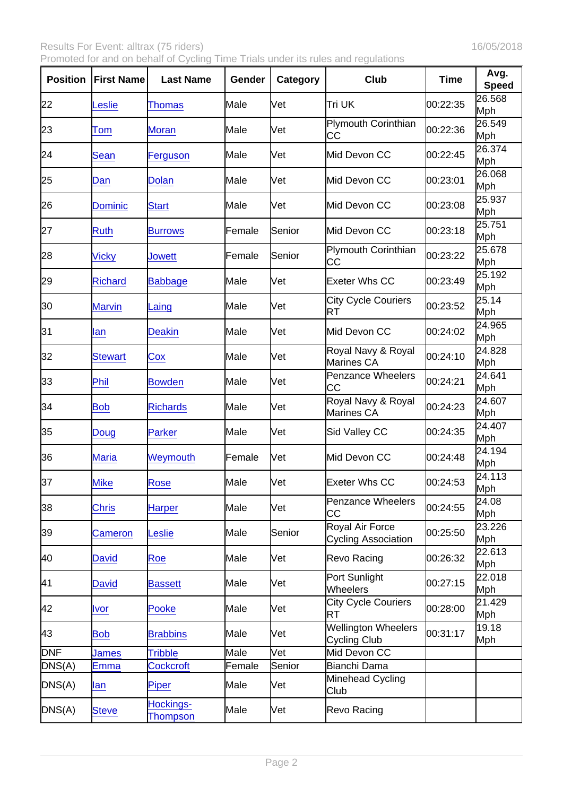Results For Event: alltrax (75 riders) 16/05/2018

Promoted for and on behalf of Cycling Time Trials under its rules and regulations

| Position   | <b>First Name</b> | Last Name                    | Gender | Category   | Club                                                 | Time     | Avg.<br>Speed |
|------------|-------------------|------------------------------|--------|------------|------------------------------------------------------|----------|---------------|
| 22         | Leslie            | <b>Thomas</b>                | Male   | Vet        | Tri UK                                               | 00:22:35 | 26.568<br>Mph |
| 23         | Tom               | <b>Moran</b>                 | Male   | Vet        | <b>Plymouth Corinthian</b><br>CС                     | 00:22:36 | 26.549<br>Mph |
| 24         | Sean              | Ferguson                     | Male   | Vet        | Mid Devon CC                                         | 00:22:45 | 26.374<br>Mph |
| 25         | Dan               | <b>Dolan</b>                 | Male   | Vet        | Mid Devon CC                                         | 00:23:01 | 26.068<br>Mph |
| 26         | <b>Dominic</b>    | <b>Start</b>                 | Male   | Vet        | Mid Devon CC                                         | 00:23:08 | 25.937<br>Mph |
| 27         | <b>Ruth</b>       | <b>Burrows</b>               | Female | Senior     | Mid Devon CC                                         | 00:23:18 | 25.751<br>Mph |
| 28         | <b>Vicky</b>      | Jowett                       | Female | Senior     | Plymouth Corinthian<br>CС                            | 00:23:22 | 25.678<br>Mph |
| 29         | <b>Richard</b>    | <b>Babbage</b>               | Male   | Vet        | Exeter Whs CC                                        | 00:23:49 | 25.192<br>Mph |
| 30         | <b>Marvin</b>     | Laing                        | Male   | <b>Vet</b> | <b>City Cycle Couriers</b><br>RT                     | 00:23:52 | 25.14<br>Mph  |
| 31         | lan               | <b>Deakin</b>                | Male   | Vet        | Mid Devon CC                                         | 00:24:02 | 24.965<br>Mph |
| 32         | <b>Stewart</b>    | Cox                          | Male   | Vet        | Royal Navy & Royal<br>Marines CA                     | 00:24:10 | 24.828<br>Mph |
| 33         | Phil              | <b>Bowden</b>                | Male   | Vet        | <b>Penzance Wheelers</b><br>CС                       | 00:24:21 | 24.641<br>Mph |
| 34         | <b>Bob</b>        | <b>Richards</b>              | Male   | Vet        | Royal Navy & Royal<br>Marines CA                     | 00:24:23 | 24.607<br>Mph |
| 35         | Doug              | <b>Parker</b>                | Male   | Vet        | Sid Valley CC                                        | 00:24:35 | 24.407<br>Mph |
| 36         | <b>Maria</b>      | Weymouth                     | Female | Vet        | Mid Devon CC                                         | 00:24:48 | 24.194<br>Mph |
| 37         | <b>Mike</b>       | <b>Rose</b>                  | Male   | Vet        | Exeter Whs CC                                        | 00:24:53 | 24.113<br>Mph |
| 38         | <b>Chris</b>      | <b>Harper</b>                | Male   | Vet        | Penzance Wheelers<br>CС                              | 00:24:55 | 24.08<br>Mph  |
| 39         | Cameron           | Leslie                       | Male   | Senior     | <b>Royal Air Force</b><br><b>Cycling Association</b> | 00:25:50 | 23.226<br>Mph |
| 40         | <b>David</b>      | Roe                          | Male   | Vet        | Revo Racing                                          | 00:26:32 | 22.613<br>Mph |
| 41         | <b>David</b>      | <b>Bassett</b>               | Male   | Vet        | Port Sunlight<br>Wheelers                            | 00:27:15 | 22.018<br>Mph |
| 42         | <u>Ivor</u>       | Pooke                        | Male   | Vet        | <b>City Cycle Couriers</b><br>RT                     | 00:28:00 | 21.429<br>Mph |
| 43         | <b>Bob</b>        | <b>Brabbins</b>              | Male   | Vet        | <b>Wellington Wheelers</b><br>Cycling Club           | 00:31:17 | 19.18<br>Mph  |
| <b>DNF</b> | <b>James</b>      | <b>Tribble</b>               | Male   | Vet        | Mid Devon CC                                         |          |               |
| DNS(A)     | <b>Emma</b>       | <b>Cockcroft</b>             | Female | Senior     | Bianchi Dama                                         |          |               |
| DNS(A)     | lan               | Piper                        | Male   | Vet        | Minehead Cycling<br>Club                             |          |               |
| DNS(A)     | <b>Steve</b>      | Hockings-<br><b>Thompson</b> | Male   | Vet        | Revo Racing                                          |          |               |